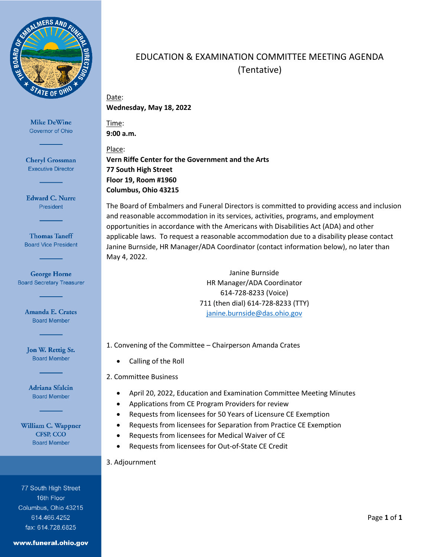

**Cheryl Grossman Executive Director** 

**Edward C. Nurre** President

**Thomas Taneff Board Vice President** 

**George Horne Board Secretary Treasurer** 

> **Amanda E. Crates Board Member**

Jon W. Rettig Sr. **Board Member** 

Adriana Sfalcin **Board Member** 

William C. Wappner **CFSP, CCO Board Member** 

77 South High Street 16th Floor Columbus, Ohio 43215 614.466.4252 fax: 614.728.6825

#### www.funeral.ohio.gov

# EDUCATION & EXAMINATION COMMITTEE MEETING AGENDA (Tentative)

## Date: **Wednesday, May 18, 2022**

Time: **9:00 a.m.**

Place: **Vern Riffe Center for the Government and the Arts 77 South High Street Floor 19, Room #1960 Columbus, Ohio 43215**

The Board of Embalmers and Funeral Directors is committed to providing access and inclusion and reasonable accommodation in its services, activities, programs, and employment opportunities in accordance with the Americans with Disabilities Act (ADA) and other applicable laws. To request a reasonable accommodation due to a disability please contact Janine Burnside, HR Manager/ADA Coordinator (contact information below), no later than May 4, 2022.

> Janine Burnside HR Manager/ADA Coordinator 614-728-8233 (Voice) 711 (then dial) 614-728-8233 (TTY) [janine.burnside@das.ohio.gov](mailto:janine.burnside@das.ohio.gov)

- 1. Convening of the Committee Chairperson Amanda Crates
	- Calling of the Roll
- 2. Committee Business
	- April 20, 2022, Education and Examination Committee Meeting Minutes
	- Applications from CE Program Providers for review
	- Requests from licensees for 50 Years of Licensure CE Exemption
	- Requests from licensees for Separation from Practice CE Exemption
	- Requests from licensees for Medical Waiver of CE
	- Requests from licensees for Out-of-State CE Credit
- 3. Adjournment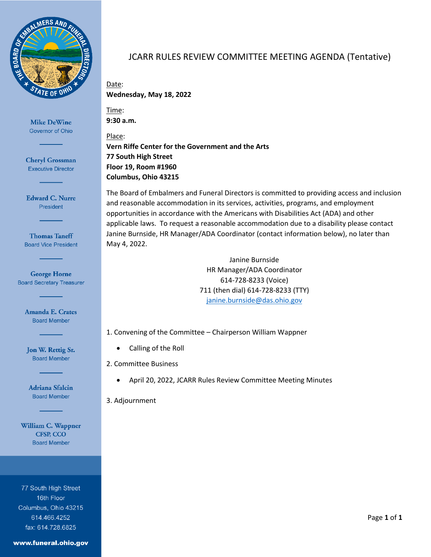

**Cheryl Grossman Executive Director** 

**Edward C. Nurre** President

**Thomas Taneff Board Vice President** 

**George Horne Board Secretary Treasurer** 

> Amanda E. Crates **Board Member**

Jon W. Rettig Sr. **Board Member** 

Adriana Sfalcin **Board Member** 

William C. Wappner **CFSP, CCO Board Member** 

77 South High Street 16th Floor Columbus, Ohio 43215 614.466.4252 fax: 614.728.6825

#### www.funeral.ohio.gov

## JCARR RULES REVIEW COMMITTEE MEETING AGENDA (Tentative)

Date: **Wednesday, May 18, 2022**

Time: **9:30 a.m.**

Place: **Vern Riffe Center for the Government and the Arts 77 South High Street Floor 19, Room #1960 Columbus, Ohio 43215**

The Board of Embalmers and Funeral Directors is committed to providing access and inclusion and reasonable accommodation in its services, activities, programs, and employment opportunities in accordance with the Americans with Disabilities Act (ADA) and other applicable laws. To request a reasonable accommodation due to a disability please contact Janine Burnside, HR Manager/ADA Coordinator (contact information below), no later than May 4, 2022.

> Janine Burnside HR Manager/ADA Coordinator 614-728-8233 (Voice) 711 (then dial) 614-728-8233 (TTY) [janine.burnside@das.ohio.gov](mailto:janine.burnside@das.ohio.gov)

1. Convening of the Committee – Chairperson William Wappner

- Calling of the Roll
- 2. Committee Business
	- April 20, 2022, JCARR Rules Review Committee Meeting Minutes

3. Adjournment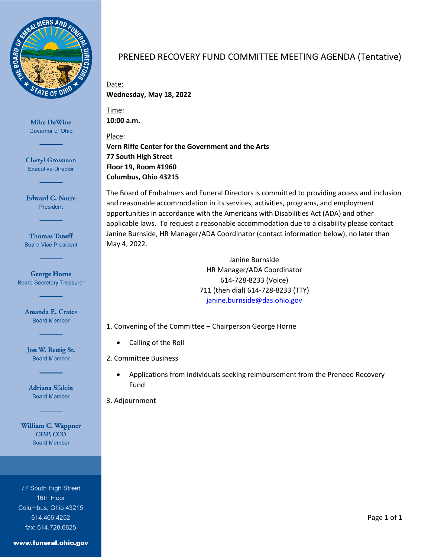

**Cheryl Grossman Executive Director** 

**Edward C. Nurre** President

**Thomas Taneff Board Vice President** 

**George Horne Board Secretary Treasurer** 

> **Amanda E. Crates Board Member**

Jon W. Rettig Sr. **Board Member** 

Adriana Sfalcin **Board Member** 

William C. Wappner **CFSP, CCO Board Member** 

77 South High Street 16th Floor Columbus, Ohio 43215 614.466.4252 fax: 614.728.6825

#### www.funeral.ohio.gov

## PRENEED RECOVERY FUND COMMITTEE MEETING AGENDA (Tentative)

Date: **Wednesday, May 18, 2022**

Time: **10:00 a.m.**

Place: **Vern Riffe Center for the Government and the Arts 77 South High Street Floor 19, Room #1960 Columbus, Ohio 43215**

The Board of Embalmers and Funeral Directors is committed to providing access and inclusion and reasonable accommodation in its services, activities, programs, and employment opportunities in accordance with the Americans with Disabilities Act (ADA) and other applicable laws. To request a reasonable accommodation due to a disability please contact Janine Burnside, HR Manager/ADA Coordinator (contact information below), no later than May 4, 2022.

> Janine Burnside HR Manager/ADA Coordinator 614-728-8233 (Voice) 711 (then dial) 614-728-8233 (TTY) [janine.burnside@das.ohio.gov](mailto:janine.burnside@das.ohio.gov)

- 1. Convening of the Committee Chairperson George Horne
	- Calling of the Roll
- 2. Committee Business
	- Applications from individuals seeking reimbursement from the Preneed Recovery Fund

3. Adjournment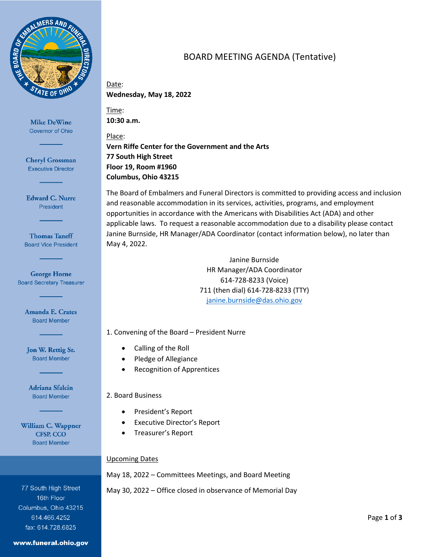

**Cheryl Grossman Executive Director** 

**Edward C. Nurre** President

**Thomas Taneff Board Vice President** 

**George Horne Board Secretary Treasurer** 

> **Amanda E. Crates Board Member**

Jon W. Rettig Sr. **Board Member** 

Adriana Sfalcin **Board Member** 

William C. Wappner **CFSP, CCO Board Member** 

77 South High Street 16th Floor Columbus, Ohio 43215 614.466.4252 fax: 614.728.6825

#### www.funeral.ohio.gov

# BOARD MEETING AGENDA (Tentative)

Date: **Wednesday, May 18, 2022**

Time: **10:30 a.m.**

Place: **Vern Riffe Center for the Government and the Arts 77 South High Street Floor 19, Room #1960 Columbus, Ohio 43215**

The Board of Embalmers and Funeral Directors is committed to providing access and inclusion and reasonable accommodation in its services, activities, programs, and employment opportunities in accordance with the Americans with Disabilities Act (ADA) and other applicable laws. To request a reasonable accommodation due to a disability please contact Janine Burnside, HR Manager/ADA Coordinator (contact information below), no later than May 4, 2022.

> Janine Burnside HR Manager/ADA Coordinator 614-728-8233 (Voice) 711 (then dial) 614-728-8233 (TTY) [janine.burnside@das.ohio.gov](mailto:janine.burnside@das.ohio.gov)

1. Convening of the Board – President Nurre

- Calling of the Roll
- Pledge of Allegiance
- Recognition of Apprentices

## 2. Board Business

- President's Report
- Executive Director's Report
- Treasurer's Report

## Upcoming Dates

May 18, 2022 – Committees Meetings, and Board Meeting

May 30, 2022 – Office closed in observance of Memorial Day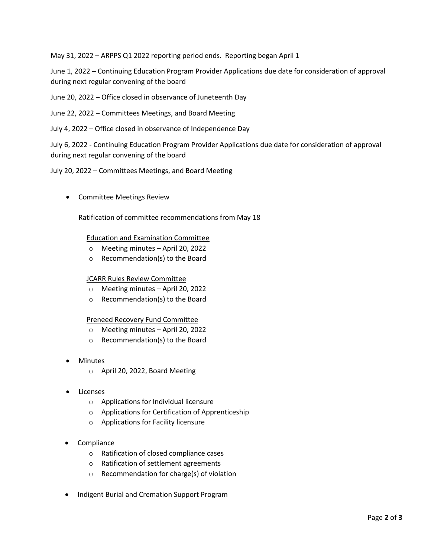May 31, 2022 – ARPPS Q1 2022 reporting period ends. Reporting began April 1

June 1, 2022 – Continuing Education Program Provider Applications due date for consideration of approval during next regular convening of the board

June 20, 2022 – Office closed in observance of Juneteenth Day

June 22, 2022 – Committees Meetings, and Board Meeting

July 4, 2022 – Office closed in observance of Independence Day

July 6, 2022 - Continuing Education Program Provider Applications due date for consideration of approval during next regular convening of the board

### July 20, 2022 – Committees Meetings, and Board Meeting

• Committee Meetings Review

Ratification of committee recommendations from May 18

### Education and Examination Committee

- o Meeting minutes April 20, 2022
- o Recommendation(s) to the Board

### JCARR Rules Review Committee

- o Meeting minutes April 20, 2022
- o Recommendation(s) to the Board

### Preneed Recovery Fund Committee

- o Meeting minutes April 20, 2022
- o Recommendation(s) to the Board
- **Minutes** 
	- o April 20, 2022, Board Meeting
- **Licenses** 
	- o Applications for Individual licensure
	- o Applications for Certification of Apprenticeship
	- o Applications for Facility licensure
- Compliance
	- o Ratification of closed compliance cases
	- o Ratification of settlement agreements
	- o Recommendation for charge(s) of violation
- Indigent Burial and Cremation Support Program